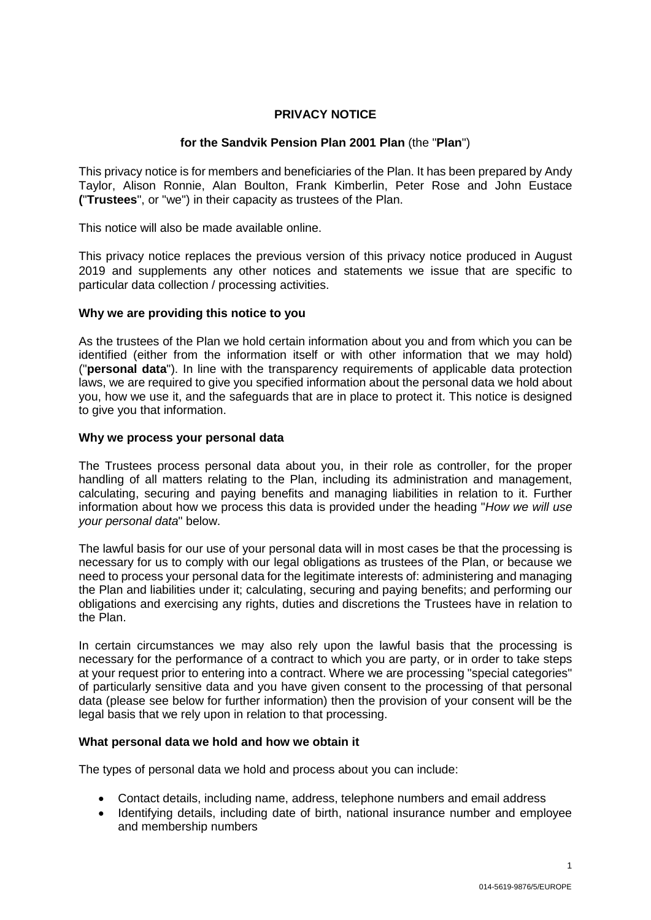# **PRIVACY NOTICE**

## **for the Sandvik Pension Plan 2001 Plan** (the "**Plan**")

This privacy notice is for members and beneficiaries of the Plan. It has been prepared by Andy Taylor, Alison Ronnie, Alan Boulton, Frank Kimberlin, Peter Rose and John Eustace **(**"**Trustees**", or "we") in their capacity as trustees of the Plan.

This notice will also be made available online.

This privacy notice replaces the previous version of this privacy notice produced in August 2019 and supplements any other notices and statements we issue that are specific to particular data collection / processing activities.

### **Why we are providing this notice to you**

As the trustees of the Plan we hold certain information about you and from which you can be identified (either from the information itself or with other information that we may hold) ("**personal data**"). In line with the transparency requirements of applicable data protection laws, we are required to give you specified information about the personal data we hold about you, how we use it, and the safeguards that are in place to protect it. This notice is designed to give you that information.

#### **Why we process your personal data**

The Trustees process personal data about you, in their role as controller, for the proper handling of all matters relating to the Plan, including its administration and management, calculating, securing and paying benefits and managing liabilities in relation to it. Further information about how we process this data is provided under the heading "*How we will use your personal data*" below.

The lawful basis for our use of your personal data will in most cases be that the processing is necessary for us to comply with our legal obligations as trustees of the Plan, or because we need to process your personal data for the legitimate interests of: administering and managing the Plan and liabilities under it; calculating, securing and paying benefits; and performing our obligations and exercising any rights, duties and discretions the Trustees have in relation to the Plan.

In certain circumstances we may also rely upon the lawful basis that the processing is necessary for the performance of a contract to which you are party, or in order to take steps at your request prior to entering into a contract. Where we are processing "special categories" of particularly sensitive data and you have given consent to the processing of that personal data (please see below for further information) then the provision of your consent will be the legal basis that we rely upon in relation to that processing.

#### **What personal data we hold and how we obtain it**

The types of personal data we hold and process about you can include:

- Contact details, including name, address, telephone numbers and email address
- Identifying details, including date of birth, national insurance number and employee and membership numbers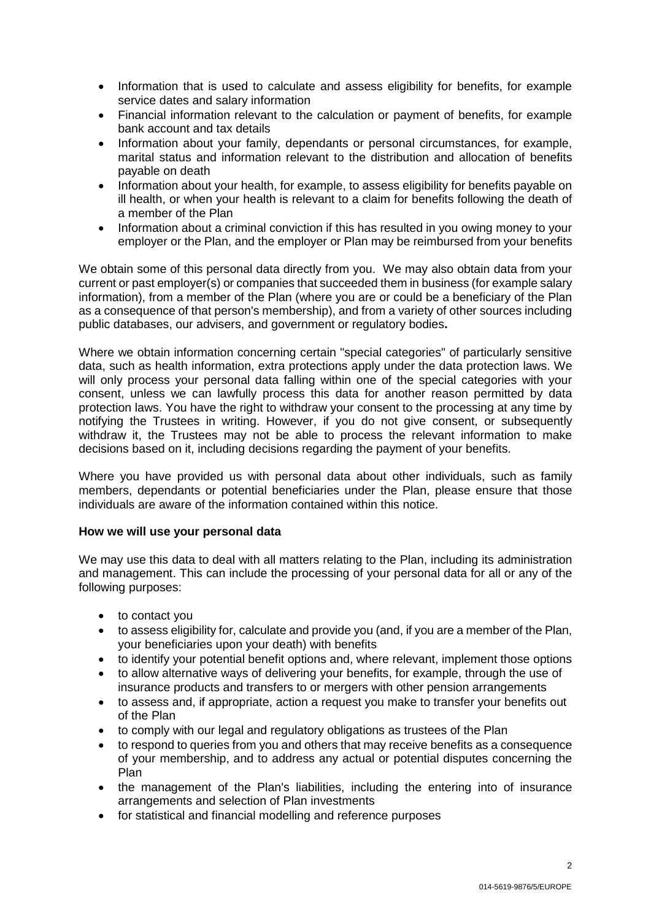- Information that is used to calculate and assess eligibility for benefits, for example service dates and salary information
- Financial information relevant to the calculation or payment of benefits, for example bank account and tax details
- Information about your family, dependants or personal circumstances, for example, marital status and information relevant to the distribution and allocation of benefits payable on death
- Information about your health, for example, to assess eligibility for benefits payable on ill health, or when your health is relevant to a claim for benefits following the death of a member of the Plan
- Information about a criminal conviction if this has resulted in you owing money to your employer or the Plan, and the employer or Plan may be reimbursed from your benefits

We obtain some of this personal data directly from you. We may also obtain data from your current or past employer(s) or companies that succeeded them in business (for example salary information), from a member of the Plan (where you are or could be a beneficiary of the Plan as a consequence of that person's membership), and from a variety of other sources including public databases, our advisers, and government or regulatory bodies**.** 

Where we obtain information concerning certain "special categories" of particularly sensitive data, such as health information, extra protections apply under the data protection laws. We will only process your personal data falling within one of the special categories with your consent, unless we can lawfully process this data for another reason permitted by data protection laws. You have the right to withdraw your consent to the processing at any time by notifying the Trustees in writing. However, if you do not give consent, or subsequently withdraw it, the Trustees may not be able to process the relevant information to make decisions based on it, including decisions regarding the payment of your benefits.

Where you have provided us with personal data about other individuals, such as family members, dependants or potential beneficiaries under the Plan, please ensure that those individuals are aware of the information contained within this notice.

## **How we will use your personal data**

We may use this data to deal with all matters relating to the Plan, including its administration and management. This can include the processing of your personal data for all or any of the following purposes:

- to contact you
- to assess eligibility for, calculate and provide you (and, if you are a member of the Plan, your beneficiaries upon your death) with benefits
- to identify your potential benefit options and, where relevant, implement those options
- to allow alternative ways of delivering your benefits, for example, through the use of insurance products and transfers to or mergers with other pension arrangements
- to assess and, if appropriate, action a request you make to transfer your benefits out of the Plan
- to comply with our legal and regulatory obligations as trustees of the Plan
- to respond to queries from you and others that may receive benefits as a consequence of your membership, and to address any actual or potential disputes concerning the Plan
- the management of the Plan's liabilities, including the entering into of insurance arrangements and selection of Plan investments
- for statistical and financial modelling and reference purposes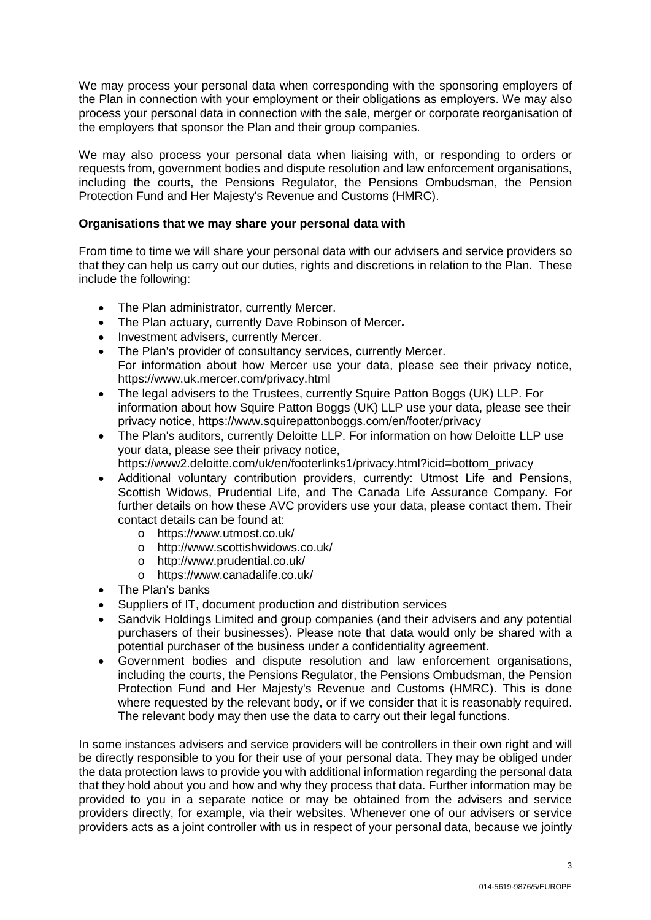We may process your personal data when corresponding with the sponsoring employers of the Plan in connection with your employment or their obligations as employers. We may also process your personal data in connection with the sale, merger or corporate reorganisation of the employers that sponsor the Plan and their group companies.

We may also process your personal data when liaising with, or responding to orders or requests from, government bodies and dispute resolution and law enforcement organisations, including the courts, the Pensions Regulator, the Pensions Ombudsman, the Pension Protection Fund and Her Majesty's Revenue and Customs (HMRC).

## **Organisations that we may share your personal data with**

From time to time we will share your personal data with our advisers and service providers so that they can help us carry out our duties, rights and discretions in relation to the Plan. These include the following:

- The Plan administrator, currently Mercer.
- The Plan actuary, currently Dave Robinson of Mercer*.*
- Investment advisers, currently Mercer.
- The Plan's provider of consultancy services, currently Mercer. For information about how Mercer use your data, please see their privacy notice, <https://www.uk.mercer.com/privacy.html>
- The legal advisers to the Trustees, currently Squire Patton Boggs (UK) LLP. For information about how Squire Patton Boggs (UK) LLP use your data, please see their privacy notice,<https://www.squirepattonboggs.com/en/footer/privacy>
- The Plan's auditors, currently Deloitte LLP. For information on how Deloitte LLP use your data, please see their privacy notice,
	- [https://www2.deloitte.com/uk/en/footerlinks1/privacy.html?icid=bottom\\_privacy](https://www2.deloitte.com/uk/en/footerlinks1/privacy.html?icid=bottom_privacy)
- Additional voluntary contribution providers, currently: Utmost Life and Pensions, Scottish Widows, Prudential Life, and The Canada Life Assurance Company. For further details on how these AVC providers use your data, please contact them. Their contact details can be found at:
	- o <https://www.utmost.co.uk/>
	- o http://www.scottishwidows.co.uk/
	- o <http://www.prudential.co.uk/>
	- o <https://www.canadalife.co.uk/>
- The Plan's banks
- Suppliers of IT, document production and distribution services
- Sandvik Holdings Limited and group companies (and their advisers and any potential purchasers of their businesses). Please note that data would only be shared with a potential purchaser of the business under a confidentiality agreement.
- Government bodies and dispute resolution and law enforcement organisations, including the courts, the Pensions Regulator, the Pensions Ombudsman, the Pension Protection Fund and Her Majesty's Revenue and Customs (HMRC). This is done where requested by the relevant body, or if we consider that it is reasonably required. The relevant body may then use the data to carry out their legal functions.

In some instances advisers and service providers will be controllers in their own right and will be directly responsible to you for their use of your personal data. They may be obliged under the data protection laws to provide you with additional information regarding the personal data that they hold about you and how and why they process that data. Further information may be provided to you in a separate notice or may be obtained from the advisers and service providers directly, for example, via their websites. Whenever one of our advisers or service providers acts as a joint controller with us in respect of your personal data, because we jointly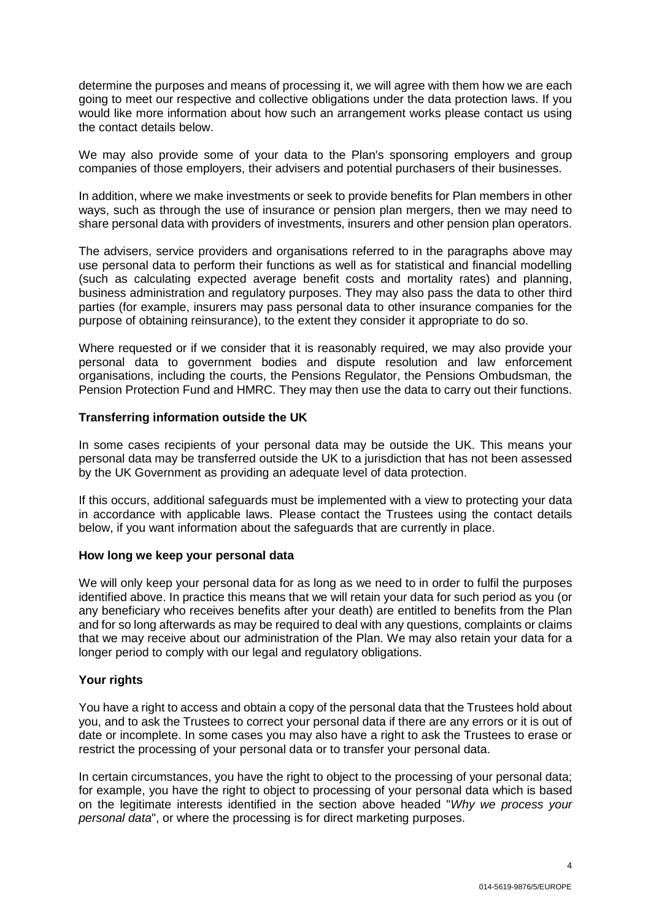determine the purposes and means of processing it, we will agree with them how we are each going to meet our respective and collective obligations under the data protection laws. If you would like more information about how such an arrangement works please contact us using the contact details below.

We may also provide some of your data to the Plan's sponsoring employers and group companies of those employers, their advisers and potential purchasers of their businesses.

In addition, where we make investments or seek to provide benefits for Plan members in other ways, such as through the use of insurance or pension plan mergers, then we may need to share personal data with providers of investments, insurers and other pension plan operators.

The advisers, service providers and organisations referred to in the paragraphs above may use personal data to perform their functions as well as for statistical and financial modelling (such as calculating expected average benefit costs and mortality rates) and planning, business administration and regulatory purposes. They may also pass the data to other third parties (for example, insurers may pass personal data to other insurance companies for the purpose of obtaining reinsurance), to the extent they consider it appropriate to do so.

Where requested or if we consider that it is reasonably required, we may also provide your personal data to government bodies and dispute resolution and law enforcement organisations, including the courts, the Pensions Regulator, the Pensions Ombudsman, the Pension Protection Fund and HMRC. They may then use the data to carry out their functions.

### **Transferring information outside the UK**

In some cases recipients of your personal data may be outside the UK. This means your personal data may be transferred outside the UK to a jurisdiction that has not been assessed by the UK Government as providing an adequate level of data protection.

If this occurs, additional safeguards must be implemented with a view to protecting your data in accordance with applicable laws. Please contact the Trustees using the contact details below, if you want information about the safeguards that are currently in place.

#### **How long we keep your personal data**

We will only keep your personal data for as long as we need to in order to fulfil the purposes identified above. In practice this means that we will retain your data for such period as you (or any beneficiary who receives benefits after your death) are entitled to benefits from the Plan and for so long afterwards as may be required to deal with any questions, complaints or claims that we may receive about our administration of the Plan. We may also retain your data for a longer period to comply with our legal and regulatory obligations.

## **Your rights**

You have a right to access and obtain a copy of the personal data that the Trustees hold about you, and to ask the Trustees to correct your personal data if there are any errors or it is out of date or incomplete. In some cases you may also have a right to ask the Trustees to erase or restrict the processing of your personal data or to transfer your personal data.

In certain circumstances, you have the right to object to the processing of your personal data; for example, you have the right to object to processing of your personal data which is based on the legitimate interests identified in the section above headed "*Why we process your personal data*", or where the processing is for direct marketing purposes.